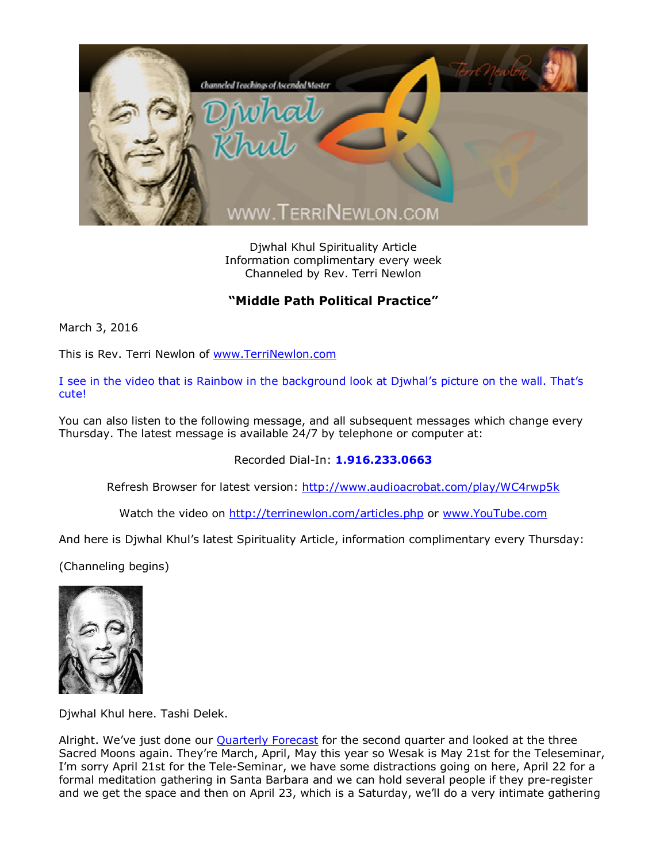

Djwhal Khul Spirituality Article Information complimentary every week Channeled by Rev. Terri Newlon

## **"Middle Path Political Practice"**

March 3, 2016

This is Rev. Terri Newlon of [www.TerriNewlon.com](http://www.terrinewlon.com/)

I see in the video that is Rainbow in the background look at Djwhal's picture on the wall. That's cute!

You can also listen to the following message, and all subsequent messages which change every Thursday. The latest message is available 24/7 by telephone or computer at:

Recorded Dial-In: **1.916.233.0663**

Refresh Browser for latest version: <http://www.audioacrobat.com/play/WC4rwp5k>

Watch the video on <http://terrinewlon.com/articles.php> or [www.YouTube.com](http://www.youtube.com/)

And here is Djwhal Khul's latest Spirituality Article, information complimentary every Thursday:

(Channeling begins)



Djwhal Khul here. Tashi Delek.

Alright. We've just done our **Quarterly Forecast** for the second quarter and looked at the three Sacred Moons again. They're March, April, May this year so Wesak is May 21st for the Teleseminar, I'm sorry April 21st for the Tele-Seminar, we have some distractions going on here, April 22 for a formal meditation gathering in Santa Barbara and we can hold several people if they pre-register and we get the space and then on April 23, which is a Saturday, we'll do a very intimate gathering